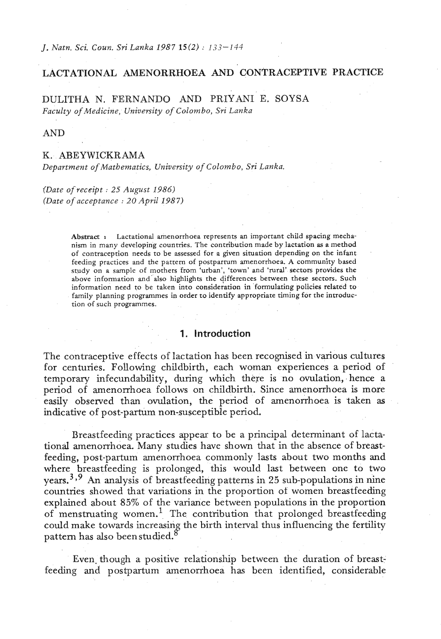*J. Natn. Sci. Coun. Sri Lanka 1987 15(2)* : *133-144* 

## **LACTATIONAL AMENORRHOEA AND CONTRACEPTIVE PRACTICE**

DULITHA N. FERNANDQ AND PRIYANI E. SOYSA *Faculty of Medicine, University of Colombo, Sri Lanka* 

AND

### K. ABEYWICKRAMA

*Department of Mathematics, University of Colombo, Sri Lanka.* 

*(Date of receipt* : *25 August 1986) (Date of acceptance* : *20 April 1987)* 

> **Abstract s** Lactational amenorrhoea represents an important child spacing mechanism in many developing countries. The contribution made by lactation as a method of contraception needs to be assessed for a given situation depending on the infant feeding practices and the pattern of postpartum amenorrhoea. A community based study on a sample of mothers from 'urban', 'town' and 'rural' sectors provides the above information **and** also highlights the (ifferences between these sectors. Such information need to be taken into consideration in formulating policies related to family planning programmes in order to identify appropriate timing for the introduction of such programmes.

## **1. Introduction**

The contraceptive effects of lactation has been recognised in various cultures for centuries. Following childbirth, each woman experiences a period of temporary infecundability, during which there is no ovulation, hence a period of amenorrhoea follows on childbirth. Since amenorrhoea is more easily observed than ovulation, the period of amenorrhoea is taken as indicative of post-partum non-susceptible period.

Breastfeeding practices appear to be a principal determinant of lactational amenorrhoea. Many studies have shown that in the absence of breastfeeding, post-partum amenorrhoea commonly lasts about two months **and**  where breastfeeding is prolonged, this would last between one to two years.3 *39* An analysis of breastfeeding patterns in 25 sub-populations in nine countries showed that variations in the proportion of women breastfeeding explained about 85% of the variance between populations in the proportion of menstruating women.' The contribution that prolonged breastfeeding could make towards increasing the birth interval thus influencing the fertility pattern has also been studied.<sup>8</sup>

Even. though a positive relationship between the duration of breastfeeding and postpartum amenorrhoea has been identified, considerable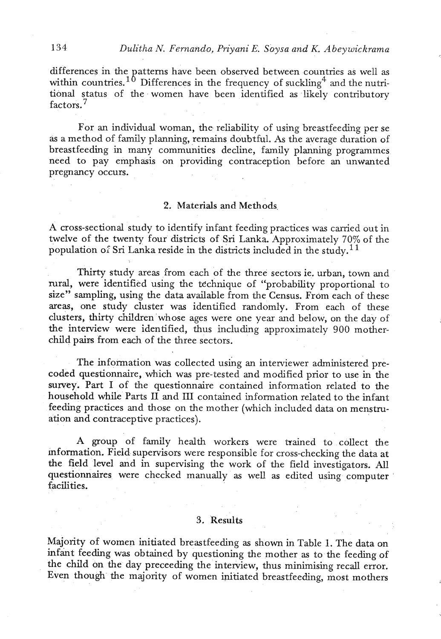differences in the patterns have been observed between countries as well as 134 Dulitha N. Fernando, Priyani E. Soysa and K. Abeywickrama<br>differences in the patterns have been observed between countries as well as<br>within countries.<sup>10</sup> Differences in the frequency of suckling<sup>4</sup> and the nutri-<br>ti tional status of the women have been identified as likely contributory factors.<sup>7</sup>

For an individual woman, the reliability of using breastfeeding per se as a method of family planning, remains doubtful. As the average duration of breastfeeding in many communities decline, family planning programmes need to pay emphasis on providing contraception before an unwanted pregnancy occurs.

## 2. Materials **and** Methods.

**A** cross-sectional study to identify infant feeding practices was carried out in A cross-sectional study to identify inflant reeding practices was carried out in twelve of the twenty four districts of Sri Lanka. Approximately 70% of the population of Sri Lanka reside in the districts included in the st

Thirty study areas from each of the three sectors ie. urban, town and rural, were identified using the technique of "probability proportional to size" sampling, using the data available from the Census. From each of these areas, one study cluster was identified randomly. From each of these clusters, thirty children whose ages were one year and below, on the day of the interview were identified, thus including approximately 900 motherchild pairs from each of the three sectors.

The information was collected using an interviewer administered precoded questionnaire, which was pre-tested and modified prior to use in the survey. Part I of the questionnaire contained information related to the household while Parts 11 and 111 contained information related to the infant feeding practices and those on the mother (which included data on menstruation and contraceptive practices).

**A** group of family health workers were trained to collect the mfonnation. Field supervisors were responsible for cross-checking the data **at**  the field level and in supervising the work of the field investigators. All questionnaires were checked manually as well as edited using computer ' facilities.

## **3.** 'Results

Majority of women initiated breastfeeding as shown in Table 1. The data on infant feeding was obtained by questioning the mother as to the feeding of the child on the day preceeding the interview, thus minimising recall error. Even though the majority of women initiated breastfeeding, most mothers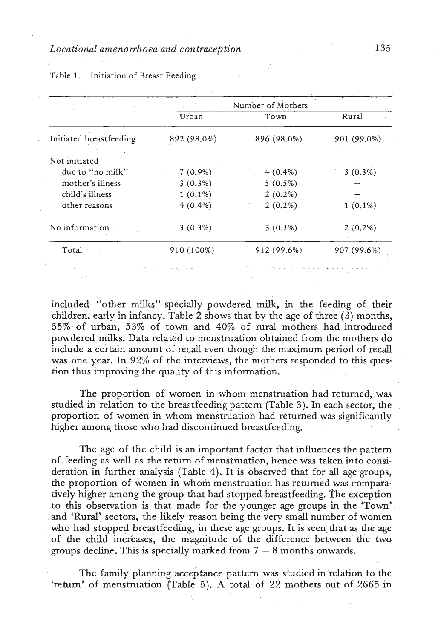### *Locational amenorrhoea and contraception*

|                         |             | Number of Mothers |             |
|-------------------------|-------------|-------------------|-------------|
|                         | Urban       | Town              | Rural       |
| Initiated breastfeeding | 892 (98.0%) | 896 (98.0%)       | 901 (99.0%) |
| Not initiated -         |             |                   |             |
| due to "no milk"        | $7(0.9\%)$  | $4(0.4\%)$        | $3(0.3\%)$  |
| mother's illness        | $3(0.3\%)$  | $5(0.5\%)$        |             |
| child's illness         | $1(0.1\%)$  | $2(0.2\%)$        |             |
| other reasons           | $4(0.4\%)$  | $2(0.2\%)$        | $1(0.1\%)$  |
| No information          | $3(0.3\%)$  | $3(0.3\%)$        | $2(0.2\%)$  |
| Total                   | 910 (100%)  | 912 (99.6%)       | 907 (99.6%) |

### Table 1. Initiation of Breast Feeding

included "other milks" specially powdered milk, in the feeding of their children, early in infancy. Table **2** shows that by the age of three *(3)* months, *55%* of urban, *53%* of town and 40% of rural mothers had introduced powdered milks. Data related to menstruation obtained from the mothers do include a certain amount of recall even though the maximum period of recall was one year. In 92% of the interviews, the mothers responded to this question thus improving the quality of this information.

The proportion of women in whom menstruation had returned, was studied in relation to the breastfeeding pattern (Table **3).** In each sector, the proportion of women in whom menstruation had returned was significantly higher among those who had discontinued breastfeeding.

The age of the child is an important factor that influences the pattern of feeding as well as the return of menstruation, hence was taken into consideration in further analysis (Table 4). It is observed that for **aU** age groups, the proportion of women in whom menstruation has returned was comparatively higher among the group that had stopped breastfeeding. The exception to this observation is that made for the younger age groups in the 'Town' and 'Rural' sectors, the likely reason being the very small number of women who had stopped breastfeeding, in these age groups. It is seen that as the age of the child increases, the magnitude of the difference between the two groups decline. This is specially marked from 7 - 8 months onwards.

The family planning acceptance pattern was studied in relation to the 'return' of menstruation (Table 5). A total of 22 mothers out of 2665 in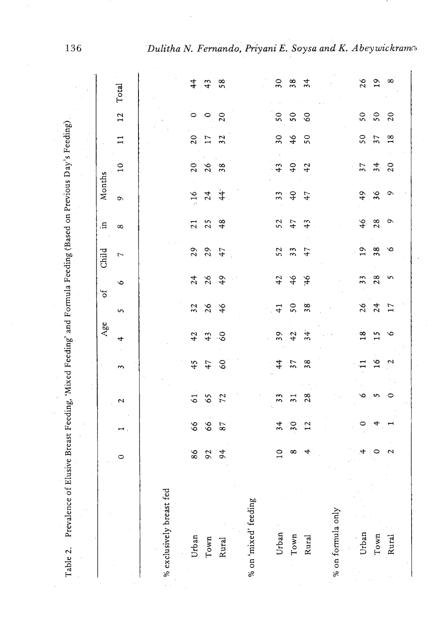|                          |              |                            |                         |                       | $\mathbf{Age}$ |                | ð             | Child         | Ħ.              | Months          |                 |                 |                |                 |
|--------------------------|--------------|----------------------------|-------------------------|-----------------------|----------------|----------------|---------------|---------------|-----------------|-----------------|-----------------|-----------------|----------------|-----------------|
|                          | $\circ$      | $\overline{\phantom{a}}$ . | $\mathbf{\hat{z}}$      | $\tilde{\phantom{0}}$ | 4              | S              | $\circ$       | $\tau$        | $\infty$        | $\sim$          | $\overline{10}$ | $\Xi$           | 12             | Total           |
|                          |              |                            |                         |                       |                |                |               |               |                 |                 |                 |                 |                |                 |
| % exclusively breast fed |              |                            |                         |                       |                |                |               |               |                 |                 |                 |                 |                |                 |
| Urban                    | 86           | 66                         | $\overline{61}$         | 45                    | 42             | 32             | 24            | 29            | $\overline{21}$ | 16              | 20              | 20              | $\circ$        | $\frac{4}{4}$   |
| Town                     | 92           | 66                         | 65                      | 47                    | 43             | 26             | 26            | 29            | 25              | 24              | 26              | 17              | $\circ$        | 43              |
| Rural                    | 94           | 87                         | 72                      | 60                    | $\delta$       | 46             | 49            | 47            | 48              | $\ddot{4}$      | 38              | $\overline{32}$ | $\overline{c}$ | 58              |
| % on 'mixed' feeding     |              |                            |                         |                       |                |                |               |               |                 |                 |                 |                 |                |                 |
|                          |              |                            |                         |                       |                |                |               |               |                 |                 |                 |                 |                |                 |
| Urban                    | $10$         | 34                         | $\overline{\mathbf{3}}$ | $\frac{4}{4}$         | 39             | 41             | 42            | 52            | 52              | $\frac{3}{3}$   | 43              | 30              | $50\,$         | $30^{\circ}$    |
| Town                     | $\infty$     | 30                         | $\overline{31}$         | $\overline{37}$       | 42             | 50             | 46            | $\frac{3}{3}$ | 47              | $\overline{40}$ | 40              | 46              | $50\,$         | 38              |
| Rural                    | 4            | 12                         | 28                      | 38                    | 34             | 38             | $\frac{9}{4}$ | 47            | 43              | 47              | 42              | 50              | $\delta$       | 34              |
|                          |              |                            |                         |                       |                |                |               |               |                 |                 |                 |                 |                |                 |
| % on formula only        |              |                            |                         |                       |                |                |               |               |                 |                 |                 |                 |                |                 |
|                          |              |                            |                         |                       |                |                |               |               |                 |                 |                 |                 |                |                 |
| Urban                    | 4            | ∘                          | یم                      | $\mathbf{1}$          | 18             | $\frac{26}{5}$ | 33            | 19            | $\frac{46}{5}$  | 49              | 37              | 50              | $50\,$         | 26              |
| Town                     | $\circ$      | 4                          | S                       | 16                    | n              | 24             | 28            | 38            | 28              | 36              | 34              | $\overline{57}$ | $\frac{1}{5}$  | $\overline{19}$ |
| Rural                    | $\mathbf{z}$ | −                          | $\circ$                 | $\sim$                | $\circ$        | 17             | S             | $\circ$       | Ö               | $\circ$         | $\overline{20}$ | 18              | $\overline{c}$ | $\infty$        |

136

Dulitha N. Fernando, Priyani E. Soysa and K. Abeywickrams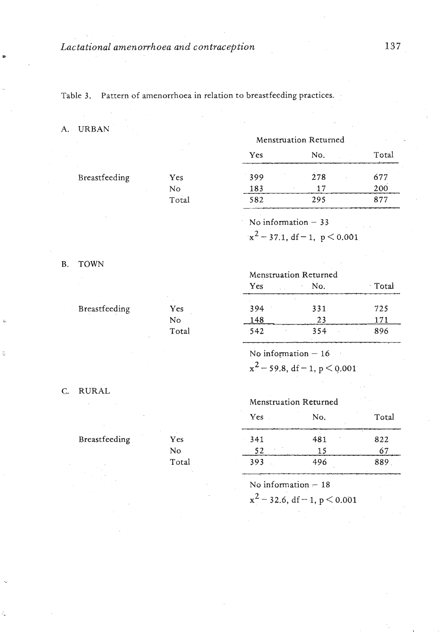Table 3. Pattern of amenorrhoea in relation to breastfeeding practices.

#### A. URBAN

|               |       | Yes | No.                  | Total |
|---------------|-------|-----|----------------------|-------|
| Breastfeeding | Yes   | 399 | 278                  | 677   |
|               | No    | 183 | 17                   | 200   |
|               | Total | 582 | 295                  | 877   |
|               |       |     | No information $-33$ |       |

B. TOWN

# Menstruation Returned

 $x^2 - 37.1$ , df - 1, p < 0.001

Menstruation Returned

| Yes    | No. | Total |
|--------|-----|-------|
| 394    | 331 | 725   |
| 148    | 23  | 171   |
| $-542$ | 354 | 896   |
|        |     |       |

No information  $-16$ 

 $x^2$  – 59.8, df – 1, p < 0.001

C. RURAL

Breastfeeding

Breastfeeding Yes

| Yes   |
|-------|
| N٥    |
| Total |

No Total

## Menstruation Returned

| Yes | No. | Total |
|-----|-----|-------|
| 341 | 481 | 822   |
| 52  | 15  | 67    |
| 393 | 496 | 889   |

No information - 18<br> $x^2 - 32.6$ , df - 1, p < 0.001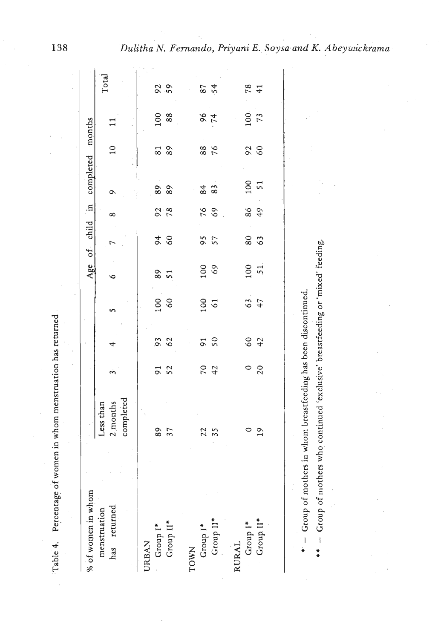| 100<br>60<br>63<br>100<br>61<br>$\frac{50}{50}$<br>6042<br>93<br>4<br>$70$<br>42<br>$\frac{0}{20}$<br>91<br>52<br>completed<br>2 months<br>Less than<br>89<br>37<br>$\frac{1}{2}$<br>$22$<br>$35$<br>% of women in whom<br>has returned<br>menstruation<br>$Group\;I^*$ Group $II^*$<br>Group II*<br>Group II*<br>Group I*<br>Group I*<br><b>JRBAN</b><br><b>RURAL</b><br>TOWN |  |               |          |          |           | Age of child in completed months |                  |            |
|--------------------------------------------------------------------------------------------------------------------------------------------------------------------------------------------------------------------------------------------------------------------------------------------------------------------------------------------------------------------------------|--|---------------|----------|----------|-----------|----------------------------------|------------------|------------|
|                                                                                                                                                                                                                                                                                                                                                                                |  |               |          |          |           |                                  |                  | Total      |
|                                                                                                                                                                                                                                                                                                                                                                                |  | ∘             |          | $\infty$ | ۰         | $\overline{10}$                  |                  |            |
|                                                                                                                                                                                                                                                                                                                                                                                |  |               |          |          |           |                                  |                  |            |
|                                                                                                                                                                                                                                                                                                                                                                                |  |               | 68       |          |           | $\frac{8}{3}$                    |                  |            |
|                                                                                                                                                                                                                                                                                                                                                                                |  | $89$ $51$     |          | 92<br>78 | 88<br>89  |                                  | 100<br>88        | 92<br>59   |
|                                                                                                                                                                                                                                                                                                                                                                                |  |               |          |          |           |                                  |                  |            |
|                                                                                                                                                                                                                                                                                                                                                                                |  | 100           | 957      |          | $83^{8}$  | 88<br>76                         | 66               |            |
|                                                                                                                                                                                                                                                                                                                                                                                |  |               |          | 76<br>69 |           |                                  |                  | 87<br>54   |
|                                                                                                                                                                                                                                                                                                                                                                                |  |               |          |          |           |                                  |                  |            |
|                                                                                                                                                                                                                                                                                                                                                                                |  | $100$<br>$51$ | 80<br>63 | 864      | 100<br>51 | 92<br>60                         | $\frac{100}{73}$ | $78$<br>41 |
|                                                                                                                                                                                                                                                                                                                                                                                |  |               |          |          |           |                                  |                  |            |
|                                                                                                                                                                                                                                                                                                                                                                                |  |               |          |          |           |                                  |                  |            |

 $* -$  Group of mothers in whom breastfeeding has been discontinued.  $-$  Group of mothers in whom breastfeeding has been discontinued.

.<br>\*

\* \* - Group of mothers who continued 'exclusive' breastfeeding or 'mixed' feeding. - Group of mothers who continued 'exclusive' breastfeeding or 'mixed' feeding.  $*$ 

138

Table 4. Percentage of women in whom menstruation has returned

Table 4. Percentage of women in whom menstruation has returned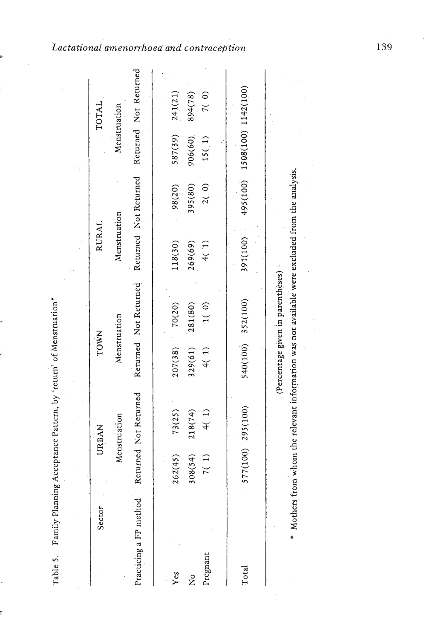| Sector                 |         | URBAN                                                                                           | TOWN              |                                   | RURAL        |                       |                     | TOTAL                 |
|------------------------|---------|-------------------------------------------------------------------------------------------------|-------------------|-----------------------------------|--------------|-----------------------|---------------------|-----------------------|
|                        |         | Menstruation                                                                                    | Menstruation      |                                   | Menstruation |                       | Menstruation        |                       |
| Practicing a FP method |         | Returned Not Returned                                                                           |                   | Returned Not Returned             |              | Returned Not Returned |                     | Returned Not Returned |
|                        |         |                                                                                                 |                   |                                   |              |                       |                     |                       |
| Yes                    | 262(45) | 73(25)                                                                                          | 207(38)           | 70(20)                            | 118(30)      | 98(20)                | 587(39)             | 241(21)               |
| $\frac{1}{2}$          | 308(54) | 218(74)                                                                                         | 329(61)           | 281(80)                           | 269(69)      | 395(80)               | 906(60)             | 894(78)               |
| Pregnant               | 7(1)    | 4(1)                                                                                            | 4(1)              | 1(0)                              | (1)          | 2(0)                  | 15(1)               | 7(0)                  |
|                        |         |                                                                                                 |                   |                                   |              |                       |                     |                       |
| Total                  |         | 577(100) 295(100)                                                                               | 540(100) 352(100) |                                   | 391(100)     | 495(100)              | 1508(100) 1142(100) |                       |
|                        |         |                                                                                                 |                   |                                   |              |                       |                     |                       |
|                        |         |                                                                                                 |                   | (Percentage given in parentheses) |              |                       |                     |                       |
|                        |         | * Mothers from whom the relevant information was not available were excluded from the analysis. |                   |                                   |              |                       |                     |                       |
|                        |         |                                                                                                 |                   |                                   |              |                       |                     |                       |

Lactational amenorrhoea and contraception

139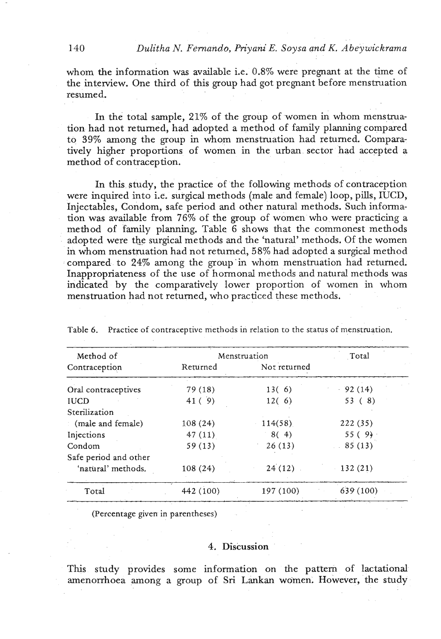whom the information was available i.e. 0.8% were pregnant at the time of the interview. One third of this group had got pregnant before menstruation resumed.

In the total sample, **21%** of the group of women in whom menstruation had not returned, had adopted a method of family planning compared to **39%** among the group in whom menstruation had returned. Comparatively higher proportions of women in the urban sector had accepted a method of contraception.

In this sixdy, the practice of the following methods of contraception were inquired into *i.e.* surgical methods (male and female) loop, pills, IUCD, Injectables, Condom, safe period and other natural methods. Such information was available from 76% of the group of women who were practicing a method of family planning. Table **6** shows that the commonest methods adopted were the surgical methods and the 'natural' methods. Of the women in whom menstruation had not returned, 58% had adopted a surgical method compared to **24%** among the group'in whom menstruation had returned. Inappropriateness of the use of hormonal methods and natural methods was indicated by the comparatively lower proportion of women in whom menstruation had not returned, who practiced these methods.

| Method of                      |           | Menstruation | Total     |
|--------------------------------|-----------|--------------|-----------|
| Contraception                  | Returned  | Not returned |           |
| Oral contraceptives            | 79(18)    | 13(6)        | $-92(14)$ |
| <b>IUCD</b>                    | 41(9)     | 12(6)        | 53(8)     |
| Sterilization                  |           |              |           |
| $\therefore$ (male and female) | 108(24)   | 114(58)      | 222(35)   |
| Injections                     | 47(11)    | 8(4)         | 55(9)     |
| Condom                         | 59(13)    | 26(13)       | 85(13)    |
| Safe period and other          |           |              |           |
| 'natural' methods.             | 108 (24)  | $24(12)$ .   | 132(21)   |
| Total                          | 442 (100) | 197 (100)    | 639 (100) |

Table *6.* Practice of contraceptive methods in relation to the status of menstruation.

(Percentage given in parentheses)

### 4. Discussion

This study provides some information on the pattern of lactational amenorrhoea among a group of **Sri** Lankan women. However, the study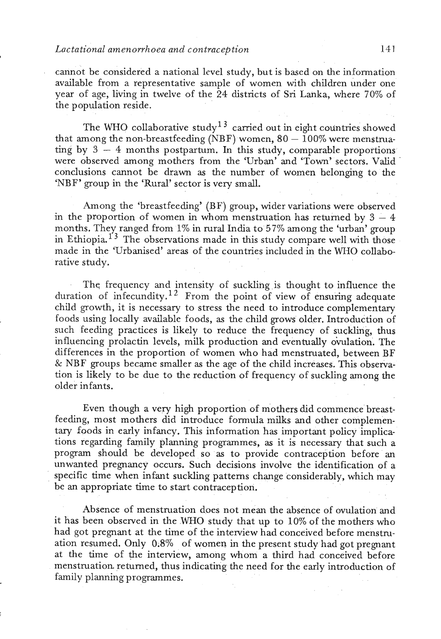## *Lactational amenorrhoea and contraception 141*

cannot be considered a national level study, but is based on the information available from a representative sample of women with children under one year of age, living in twelve of the 24 districts of Sri Lanka, where 70% of the population reside.

The WHO collaborative study<sup>13</sup> carried out in eight countries showed that among the non-breastfeeding (NBF) women,  $80 - 100\%$  were menstruating by  $3 - 4$  months postpartum. In this study, comparable proportions were observed among mothers from the 'Urban' and 'Town' sectors. Valid conclusions cannot be drawn as the number of women belonging to the 'NBF' group in the 'Rural' sector is very small.

Among the 'breastfeeding' (BF) group, wider variations were observed in the proportion of women in whom menstruation has returned by  $3 - 4$ months. They ranged from 1% in rural India to 57% among the 'urban' group in Ethiopia.<sup>13</sup> The observations made in this study compare well with those made in the 'Urbanised' areas of the countries included in the WHO collaborative study.

Thq frequency and intensity of suckling is thought to influence the duration of infecundity.<sup>12</sup> From the point of view of ensuring adequate child growth, it is necessary to stress the need to introduce complementary foods using locally available foods, as the child grows older. Introduction of such feeding practices is likely to reduce the frequency of suckling, thus influencing prolactin levels, milk production and eventually ovulation. The differences in the proportion of women who had menstruated, between BF & NBF groups becme smaller as the age of the child increases. This observation is likely to be due to the reduction of frequency of suckling among the older infants.

Even though a very high proportion of mothers did commence breastfeeding, most mothers did introduce formula milks and other complementary foods in early infancy. This information has important policy implications regarding family planning programmes, as it is necessary that such a program should be developed so as to provide contraception before **an**  unwanted pregnancy occurs. Such decisions involve the identification of a specific time when infant suckling patterns change considerably, which may be an appropriate time to start contraception.

Absence of menstruation does not mean the absence of ovulation and it has been observed in the WHO study that up to 10% of the mothers who had got pregnant at the time of the interview had conceived before menstruation resumed. Only 0.8% of women in the present study had got pregnant at the time of the interview, among whom a third had conceived before menstruation returned, thus indicating the need for the early introduction of family planning programmes.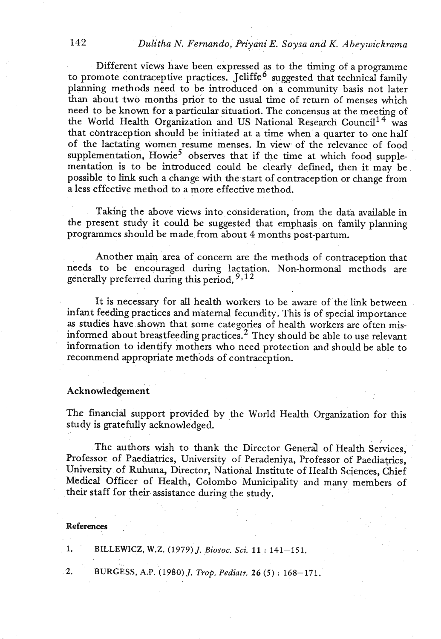**142** *Dulitha N. Fernando, Priyani E. Soysa and K. Abeywickrama* 

Different views have been expressed as to the timing of a programme to promote contraceptive practices. Jeliffe<sup> $6$ </sup> suggested that technical family planning methods need to be introduced on a community basis not later than about two months prior to the usual time of return of menses which need to be known for a particular situatiofi. The concensus at the meeting of the World Health Organization and US National Research Council<sup>14</sup> was that contraception should be initiated at a time when a quarter to one half of the lactating women resume menses. In view of the relevance of food supplementation, Howie<sup>5</sup> observes that if the time at which food supplementation is to be introduced could be clearly defined, then it may be possible to **link** such a change with the start of contraception or change from a less effective method to a more effective method.

**Taking** the above views into consideration, from the data available in the present study it could be suggested that emphasis on family planning programmes should be made from about 4 months post-partum.

Another main area of concern are the methods of contraception that needs to be encouraged during lactation. Non-hormonal methods are generally preferred during this period. *<sup>93</sup>*

It is necessary for **all** health workers to be aware of the link between infant feeding practices and maternal fecundity. This is of special importance as studies have shown that some categories of health workers are often misinformed about breastfeeding practices.2 They should be able to use relevant information to identify mothers who need protection and should be able to recommend appropriate methods of contraception.

## Acknowledgement

The financial support provided by the World Health Organization for this study is gratefully acknowledged.

The authors wish to thank the Director Generd of Health Services, Professor of Paediatrics, University of Peradeniya, Professor of Paediatrics, University of Ruhuna, Director, National Institute of Health Sciences, Chief Medical Officer of Health, Colombo Municipality and many members of their staff for their assistance during the study.

### **References**

1. **BILLEWICZ,** W.Z. (1979) J, *Biosoc. Sci. 11* : 141-151.

**2. BURGESS,** A.P. (1980) J. *Trop.* Pediatr. *26 (5)* : 168-171.